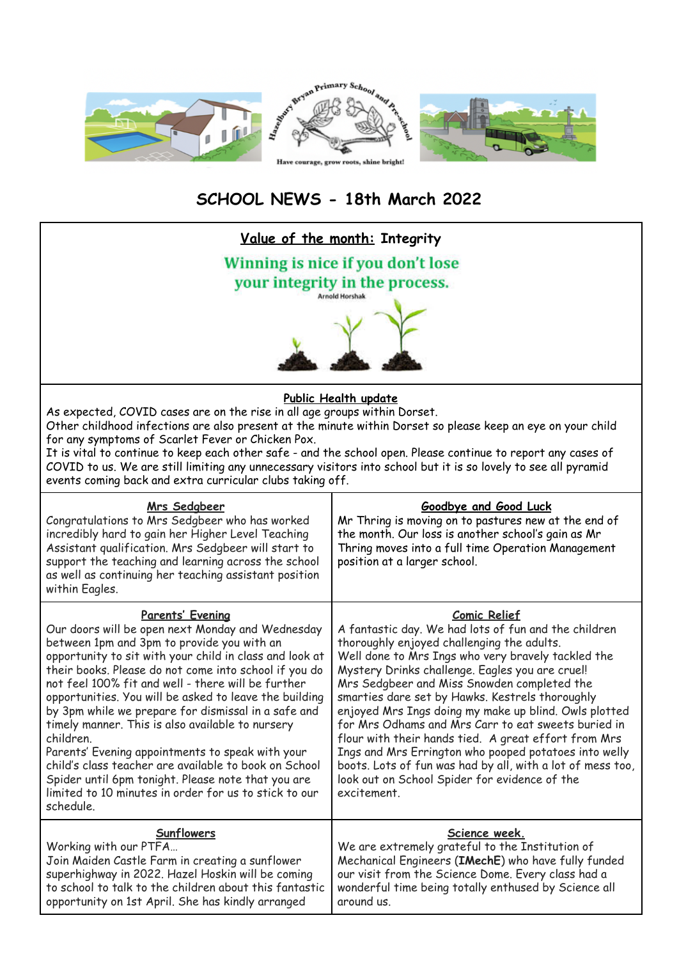

## **SCHOOL NEWS - 18th March 2022**

| Value of the month: Integrity                                                                                                                                                                                                                                                                                                                                                                                                                                                                                                                                                                                                                                                                                           |                                                                                                                                                                                                                                                                                                                                                                                                                                                                                                                                                                                                                                                                                                     |  |
|-------------------------------------------------------------------------------------------------------------------------------------------------------------------------------------------------------------------------------------------------------------------------------------------------------------------------------------------------------------------------------------------------------------------------------------------------------------------------------------------------------------------------------------------------------------------------------------------------------------------------------------------------------------------------------------------------------------------------|-----------------------------------------------------------------------------------------------------------------------------------------------------------------------------------------------------------------------------------------------------------------------------------------------------------------------------------------------------------------------------------------------------------------------------------------------------------------------------------------------------------------------------------------------------------------------------------------------------------------------------------------------------------------------------------------------------|--|
| Winning is nice if you don't lose                                                                                                                                                                                                                                                                                                                                                                                                                                                                                                                                                                                                                                                                                       |                                                                                                                                                                                                                                                                                                                                                                                                                                                                                                                                                                                                                                                                                                     |  |
| your integrity in the process.                                                                                                                                                                                                                                                                                                                                                                                                                                                                                                                                                                                                                                                                                          |                                                                                                                                                                                                                                                                                                                                                                                                                                                                                                                                                                                                                                                                                                     |  |
| <b>Arnold Horshak</b>                                                                                                                                                                                                                                                                                                                                                                                                                                                                                                                                                                                                                                                                                                   |                                                                                                                                                                                                                                                                                                                                                                                                                                                                                                                                                                                                                                                                                                     |  |
| Public Health update<br>As expected, COVID cases are on the rise in all age groups within Dorset.<br>Other childhood infections are also present at the minute within Dorset so please keep an eye on your child<br>for any symptoms of Scarlet Fever or Chicken Pox.<br>It is vital to continue to keep each other safe - and the school open. Please continue to report any cases of<br>COVID to us. We are still limiting any unnecessary visitors into school but it is so lovely to see all pyramid<br>events coming back and extra curricular clubs taking off.                                                                                                                                                   |                                                                                                                                                                                                                                                                                                                                                                                                                                                                                                                                                                                                                                                                                                     |  |
| Mrs Sedgbeer<br>Congratulations to Mrs Sedgbeer who has worked<br>incredibly hard to gain her Higher Level Teaching<br>Assistant qualification. Mrs Sedgbeer will start to<br>support the teaching and learning across the school<br>as well as continuing her teaching assistant position<br>within Eagles.                                                                                                                                                                                                                                                                                                                                                                                                            | Goodbye and Good Luck<br>Mr Thring is moving on to pastures new at the end of<br>the month. Our loss is another school's gain as Mr<br>Thring moves into a full time Operation Management<br>position at a larger school.                                                                                                                                                                                                                                                                                                                                                                                                                                                                           |  |
| Parents' Evening<br>Our doors will be open next Monday and Wednesday<br>between 1pm and 3pm to provide you with an<br>opportunity to sit with your child in class and look at<br>their books. Please do not come into school if you do<br>not feel 100% fit and well - there will be further<br>opportunities. You will be asked to leave the building<br>by 3pm while we prepare for dismissal in a safe and<br>timely manner. This is also available to nursery<br>children.<br>Parents' Evening appointments to speak with your<br>child's class teacher are available to book on School<br>Spider until 6pm tonight. Please note that you are<br>limited to 10 minutes in order for us to stick to our<br>schedule. | <b>Comic Relief</b><br>A fantastic day. We had lots of fun and the children<br>thoroughly enjoyed challenging the adults.<br>Well done to Mrs Ings who very bravely tackled the<br>Mystery Drinks challenge. Eagles you are cruel!<br>Mrs Sedgbeer and Miss Snowden completed the<br>smarties dare set by Hawks. Kestrels thoroughly<br>enjoyed Mrs Ings doing my make up blind. Owls plotted<br>for Mrs Odhams and Mrs Carr to eat sweets buried in<br>flour with their hands tied. A great effort from Mrs<br>Ings and Mrs Errington who pooped potatoes into welly<br>boots. Lots of fun was had by all, with a lot of mess too,<br>look out on School Spider for evidence of the<br>excitement. |  |
| Sunflowers<br>Working with our PTFA<br>Join Maiden Castle Farm in creating a sunflower<br>superhighway in 2022. Hazel Hoskin will be coming<br>to school to talk to the children about this fantastic<br>opportunity on 1st April. She has kindly arranged                                                                                                                                                                                                                                                                                                                                                                                                                                                              | Science week.<br>We are extremely grateful to the Institution of<br>Mechanical Engineers (IMechE) who have fully funded<br>our visit from the Science Dome. Every class had a<br>wonderful time being totally enthused by Science all<br>around us.                                                                                                                                                                                                                                                                                                                                                                                                                                                 |  |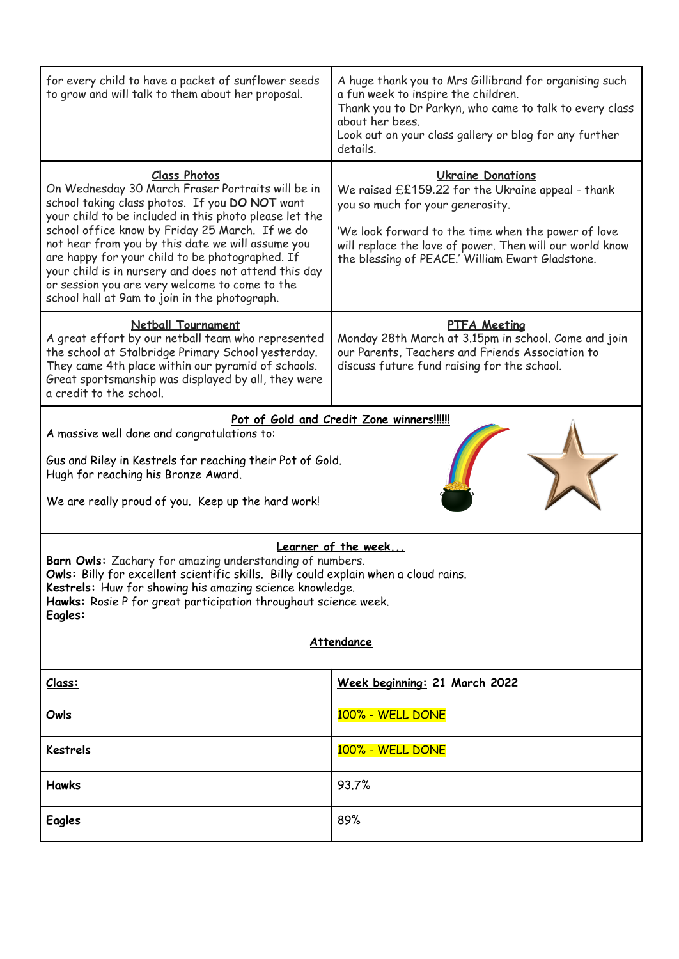| for every child to have a packet of sunflower seeds<br>to grow and will talk to them about her proposal.                                                                                                                                                                                                                                                                                                                                                                                                    | A huge thank you to Mrs Gillibrand for organising such<br>a fun week to inspire the children.<br>Thank you to Dr Parkyn, who came to talk to every class<br>about her bees.<br>Look out on your class gallery or blog for any further<br>details.                                        |
|-------------------------------------------------------------------------------------------------------------------------------------------------------------------------------------------------------------------------------------------------------------------------------------------------------------------------------------------------------------------------------------------------------------------------------------------------------------------------------------------------------------|------------------------------------------------------------------------------------------------------------------------------------------------------------------------------------------------------------------------------------------------------------------------------------------|
| <b>Class Photos</b><br>On Wednesday 30 March Fraser Portraits will be in<br>school taking class photos. If you DO NOT want<br>your child to be included in this photo please let the<br>school office know by Friday 25 March. If we do<br>not hear from you by this date we will assume you<br>are happy for your child to be photographed. If<br>your child is in nursery and does not attend this day<br>or session you are very welcome to come to the<br>school hall at 9am to join in the photograph. | <b>Ukraine Donations</b><br>We raised ££159.22 for the Ukraine appeal - thank<br>you so much for your generosity.<br>'We look forward to the time when the power of love<br>will replace the love of power. Then will our world know<br>the blessing of PEACE.' William Ewart Gladstone. |
| Netball Tournament<br>A great effort by our netball team who represented<br>the school at Stalbridge Primary School yesterday.<br>They came 4th place within our pyramid of schools.<br>Great sportsmanship was displayed by all, they were<br>a credit to the school.                                                                                                                                                                                                                                      | <b>PTFA Meeting</b><br>Monday 28th March at 3.15pm in school. Come and join<br>our Parents, Teachers and Friends Association to<br>discuss future fund raising for the school.                                                                                                           |
| Pot of Gold and Credit Zone winners!!!!!!                                                                                                                                                                                                                                                                                                                                                                                                                                                                   |                                                                                                                                                                                                                                                                                          |
| A massive well done and congratulations to:                                                                                                                                                                                                                                                                                                                                                                                                                                                                 |                                                                                                                                                                                                                                                                                          |
| Gus and Riley in Kestrels for reaching their Pot of Gold.<br>Hugh for reaching his Bronze Award.                                                                                                                                                                                                                                                                                                                                                                                                            |                                                                                                                                                                                                                                                                                          |
| We are really proud of you. Keep up the hard work!                                                                                                                                                                                                                                                                                                                                                                                                                                                          |                                                                                                                                                                                                                                                                                          |
| Learner of the week<br>Barn Owls: Zachary for amazing understanding of numbers.<br>Owls: Billy for excellent scientific skills. Billy could explain when a cloud rains.<br>Kestrels: Huw for showing his amazing science knowledge.<br>Hawks: Rosie P for great participation throughout science week.<br>Eagles:                                                                                                                                                                                           |                                                                                                                                                                                                                                                                                          |
| Attendance                                                                                                                                                                                                                                                                                                                                                                                                                                                                                                  |                                                                                                                                                                                                                                                                                          |
| Class:                                                                                                                                                                                                                                                                                                                                                                                                                                                                                                      | Week beginning: 21 March 2022                                                                                                                                                                                                                                                            |
| Owls                                                                                                                                                                                                                                                                                                                                                                                                                                                                                                        | 100% - WELL DONE                                                                                                                                                                                                                                                                         |
| <b>Kestrels</b>                                                                                                                                                                                                                                                                                                                                                                                                                                                                                             | 100% - WELL DONE                                                                                                                                                                                                                                                                         |
| <b>Hawks</b>                                                                                                                                                                                                                                                                                                                                                                                                                                                                                                | 93.7%                                                                                                                                                                                                                                                                                    |
| <b>Eagles</b>                                                                                                                                                                                                                                                                                                                                                                                                                                                                                               | 89%                                                                                                                                                                                                                                                                                      |